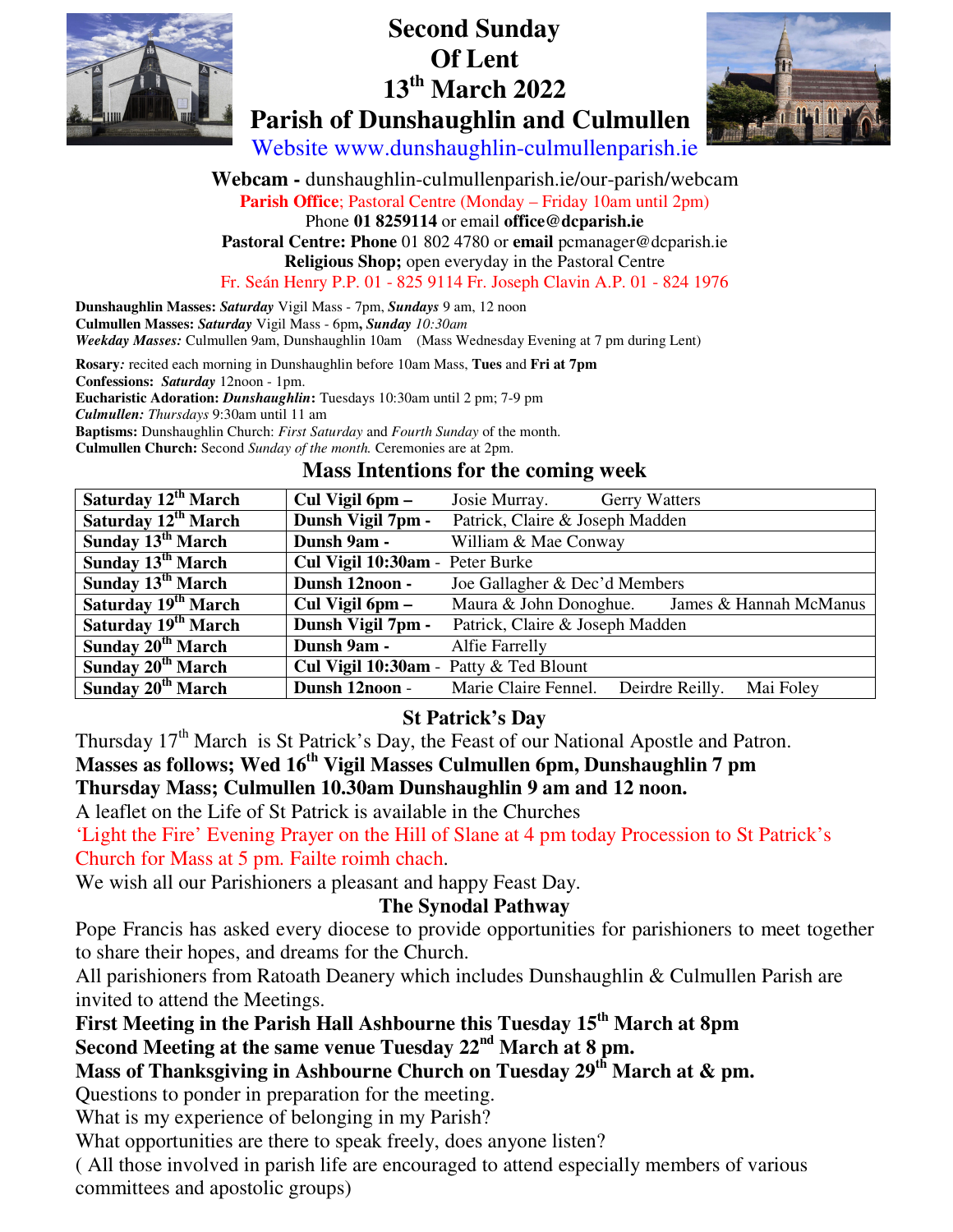

# **Second Sunday Of Lent 13th March 2022 Parish of Dunshaughlin and Culmullen**



Website www.dunshaughlin-culmullenparish.ie

**Webcam -** dunshaughlin-culmullenparish.ie/our-parish/webcam **Parish Office**; Pastoral Centre (Monday – Friday 10am until 2pm) Phone **01 8259114** or email **office@dcparish.ie Pastoral Centre: Phone** 01 802 4780 or **email** pcmanager@dcparish.ie **Religious Shop;** open everyday in the Pastoral Centre Fr. Seán Henry P.P. 01 - 825 9114 Fr. Joseph Clavin A.P. 01 - 824 1976

**Dunshaughlin Masses:** *Saturday* Vigil Mass - 7pm, *Sundays* 9 am, 12 noon **Culmullen Masses:** *Saturday* Vigil Mass - 6pm**,** *Sunday 10:30am Weekday Masses:* Culmullen 9am, Dunshaughlin 10am (Mass Wednesday Evening at 7 pm during Lent)

**Rosary***:* recited each morning in Dunshaughlin before 10am Mass, **Tues** and **Fri at 7pm**

**Confessions:** *Saturday* 12noon - 1pm.

**Eucharistic Adoration:** *Dunshaughlin***:** Tuesdays 10:30am until 2 pm; 7-9 pm

*Culmullen: Thursdays* 9:30am until 11 am

**Baptisms:** Dunshaughlin Church: *First Saturday* and *Fourth Sunday* of the month.

**Culmullen Church:** Second *Sunday of the month.* Ceremonies are at 2pm.

#### **Mass Intentions for the coming week**

| Saturday 12 <sup>th</sup> March | Cul Vigil 6pm –                        | Josie Murray.<br><b>Gerry Watters</b>                |
|---------------------------------|----------------------------------------|------------------------------------------------------|
| Saturday 12 <sup>th</sup> March | Dunsh Vigil 7pm -                      | Patrick, Claire & Joseph Madden                      |
| Sunday 13 <sup>th</sup> March   | Dunsh 9am -                            | William & Mae Conway                                 |
| Sunday $13^{th}$ March          | Cul Vigil 10:30am - Peter Burke        |                                                      |
| Sunday $13th March$             | Dunsh 12noon -                         | Joe Gallagher & Dec'd Members                        |
| Saturday 19 <sup>th</sup> March | Cul Vigil 6pm –                        | Maura & John Donoghue. James & Hannah McManus        |
| Saturday 19 <sup>th</sup> March | Dunsh Vigil 7pm -                      | Patrick, Claire & Joseph Madden                      |
| Sunday 20 <sup>th</sup> March   | Dunsh 9am -                            | Alfie Farrelly                                       |
| Sunday 20 <sup>th</sup> March   | Cul Vigil 10:30am - Patty & Ted Blount |                                                      |
| Sunday 20 <sup>th</sup> March   | Dunsh 12noon -                         | Marie Claire Fennel.<br>Deirdre Reilly.<br>Mai Foley |

## **St Patrick's Day**

Thursday 17<sup>th</sup> March is St Patrick's Day, the Feast of our National Apostle and Patron.

## **Masses as follows; Wed 16th Vigil Masses Culmullen 6pm, Dunshaughlin 7 pm**

**Thursday Mass; Culmullen 10.30am Dunshaughlin 9 am and 12 noon.** 

A leaflet on the Life of St Patrick is available in the Churches

'Light the Fire' Evening Prayer on the Hill of Slane at 4 pm today Procession to St Patrick's Church for Mass at 5 pm. Failte roimh chach.

We wish all our Parishioners a pleasant and happy Feast Day.

## **The Synodal Pathway**

Pope Francis has asked every diocese to provide opportunities for parishioners to meet together to share their hopes, and dreams for the Church.

All parishioners from Ratoath Deanery which includes Dunshaughlin & Culmullen Parish are invited to attend the Meetings.

**First Meeting in the Parish Hall Ashbourne this Tuesday 15th March at 8pm** 

Second Meeting at the same venue Tuesday 22<sup>nd</sup> March at 8 pm.

## **Mass of Thanksgiving in Ashbourne Church on Tuesday 29th March at & pm.**

Questions to ponder in preparation for the meeting.

What is my experience of belonging in my Parish?

What opportunities are there to speak freely, does anyone listen?

( All those involved in parish life are encouraged to attend especially members of various committees and apostolic groups)